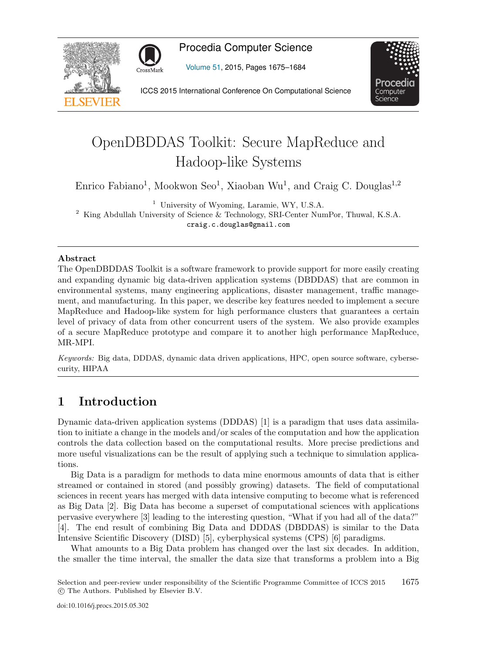

CrossMark



Volume 51, 2015, Pages 1675–1684



ICCS 2015 International Conference On Computational Science

# OpenDBDDAS Toolkit: Secure MapReduce and Hadoop-like Systems

Enrico Fabiano<sup>1</sup>, Mookwon Seo<sup>1</sup>, Xiaoban Wu<sup>1</sup>, and Craig C. Douglas<sup>1,2</sup>

<sup>1</sup> University of Wyoming, Laramie, WY, U.S.A. <sup>2</sup> King Abdullah University of Science & Technology, SRI-Center NumPor, Thuwal, K.S.A. craig.c.douglas@gmail.com

#### **Abstract**

The OpenDBDDAS Toolkit is a software framework to provide support for more easily creating and expanding dynamic big data-driven application systems (DBDDAS) that are common in environmental systems, many engineering applications, disaster management, traffic management, and manufacturing. In this paper, we describe key features needed to implement a secure MapReduce and Hadoop-like system for high performance clusters that guarantees a certain level of privacy of data from other concurrent users of the system. We also provide examples of a secure MapReduce prototype and compare it to another high performance MapReduce, MR-MPI.

Keywords: Big data, DDDAS, dynamic data driven applications, HPC, open source software, cybersecurity, HIPAA

## **1 Introduction**

Dynamic data-driven application systems (DDDAS) [1] is a paradigm that uses data assimilation to initiate a change in the models and/or scales of the computation and how the application controls the data collection based on the computational results. More precise predictions and more useful visualizations can be the result of applying such a technique to simulation applications.

Big Data is a paradigm for methods to data mine enormous amounts of data that is either streamed or contained in stored (and possibly growing) datasets. The field of computational sciences in recent years has merged with data intensive computing to become what is referenced as Big Data [2]. Big Data has become a superset of computational sciences with applications pervasive everywhere [3] leading to the interesting question, "What if you had all of the data?" [4]. The end result of combining Big Data and DDDAS (DBDDAS) is similar to the Data Intensive Scientific Discovery (DISD) [5], cyberphysical systems (CPS) [6] paradigms.

What amounts to a Big Data problem has changed over the last six decades. In addition, the smaller the time interval, the smaller the data size that transforms a problem into a Big

Selection and peer-review under responsibility of the Scientific Programme Committee of ICCS 2015 -c The Authors. Published by Elsevier B.V. 1675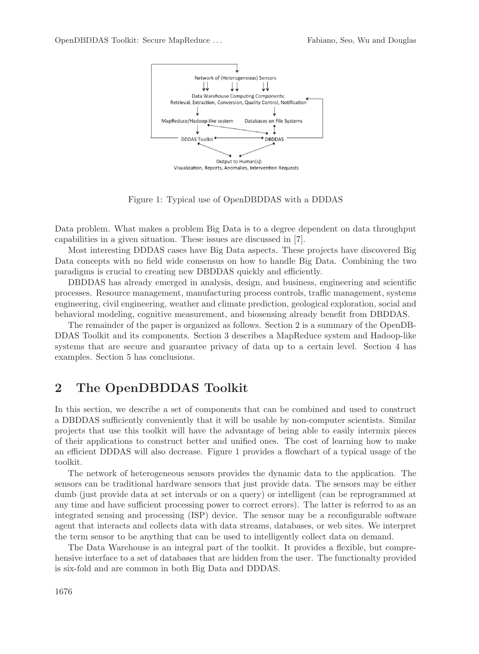

Figure 1: Typical use of OpenDBDDAS with a DDDAS

Data problem. What makes a problem Big Data is to a degree dependent on data throughput capabilities in a given situation. These issues are discussed in [7].

Most interesting DDDAS cases have Big Data aspects. These projects have discovered Big Data concepts with no field wide consensus on how to handle Big Data. Combining the two paradigms is crucial to creating new DBDDAS quickly and efficiently.

DBDDAS has already emerged in analysis, design, and business, engineering and scientific processes. Resource management, manufacturing process controls, traffic management, systems engineering, civil engineering, weather and climate prediction, geological exploration, social and behavioral modeling, cognitive measurement, and biosensing already benefit from DBDDAS.

The remainder of the paper is organized as follows. Section 2 is a summary of the OpenDB-DDAS Toolkit and its components. Section 3 describes a MapReduce system and Hadoop-like systems that are secure and guarantee privacy of data up to a certain level. Section 4 has examples. Section 5 has conclusions.

## **2 The OpenDBDDAS Toolkit**

In this section, we describe a set of components that can be combined and used to construct a DBDDAS sufficiently conveniently that it will be usable by non-computer scientists. Similar projects that use this toolkit will have the advantage of being able to easily intermix pieces of their applications to construct better and unified ones. The cost of learning how to make an efficient DDDAS will also decrease. Figure 1 provides a flowchart of a typical usage of the toolkit.

The network of heterogeneous sensors provides the dynamic data to the application. The sensors can be traditional hardware sensors that just provide data. The sensors may be either dumb (just provide data at set intervals or on a query) or intelligent (can be reprogrammed at any time and have sufficient processing power to correct errors). The latter is referred to as an integrated sensing and processing (ISP) device. The sensor may be a reconfigurable software agent that interacts and collects data with data streams, databases, or web sites. We interpret the term sensor to be anything that can be used to intelligently collect data on demand.

The Data Warehouse is an integral part of the toolkit. It provides a flexible, but comprehensive interface to a set of databases that are hidden from the user. The functionalty provided is six-fold and are common in both Big Data and DDDAS.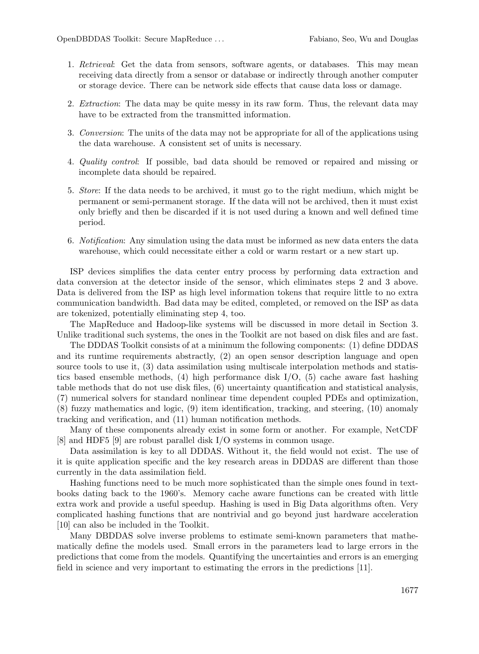- 1. Retrieval: Get the data from sensors, software agents, or databases. This may mean receiving data directly from a sensor or database or indirectly through another computer or storage device. There can be network side effects that cause data loss or damage.
- 2. *Extraction*: The data may be quite messy in its raw form. Thus, the relevant data may have to be extracted from the transmitted information.
- 3. Conversion: The units of the data may not be appropriate for all of the applications using the data warehouse. A consistent set of units is necessary.
- 4. Quality control: If possible, bad data should be removed or repaired and missing or incomplete data should be repaired.
- 5. Store: If the data needs to be archived, it must go to the right medium, which might be permanent or semi-permanent storage. If the data will not be archived, then it must exist only briefly and then be discarded if it is not used during a known and well defined time period.
- 6. Notification: Any simulation using the data must be informed as new data enters the data warehouse, which could necessitate either a cold or warm restart or a new start up.

ISP devices simplifies the data center entry process by performing data extraction and data conversion at the detector inside of the sensor, which eliminates steps 2 and 3 above. Data is delivered from the ISP as high level information tokens that require little to no extra communication bandwidth. Bad data may be edited, completed, or removed on the ISP as data are tokenized, potentially eliminating step 4, too.

The MapReduce and Hadoop-like systems will be discussed in more detail in Section 3. Unlike traditional such systems, the ones in the Toolkit are not based on disk files and are fast.

The DDDAS Toolkit consists of at a minimum the following components: (1) define DDDAS and its runtime requirements abstractly, (2) an open sensor description language and open source tools to use it, (3) data assimilation using multiscale interpolation methods and statistics based ensemble methods, (4) high performance disk I/O, (5) cache aware fast hashing table methods that do not use disk files, (6) uncertainty quantification and statistical analysis, (7) numerical solvers for standard nonlinear time dependent coupled PDEs and optimization, (8) fuzzy mathematics and logic, (9) item identification, tracking, and steering, (10) anomaly tracking and verification, and (11) human notification methods.

Many of these components already exist in some form or another. For example, NetCDF [8] and HDF5 [9] are robust parallel disk I/O systems in common usage.

Data assimilation is key to all DDDAS. Without it, the field would not exist. The use of it is quite application specific and the key research areas in DDDAS are different than those currently in the data assimilation field.

Hashing functions need to be much more sophisticated than the simple ones found in textbooks dating back to the 1960's. Memory cache aware functions can be created with little extra work and provide a useful speedup. Hashing is used in Big Data algorithms often. Very complicated hashing functions that are nontrivial and go beyond just hardware acceleration [10] can also be included in the Toolkit.

Many DBDDAS solve inverse problems to estimate semi-known parameters that mathematically define the models used. Small errors in the parameters lead to large errors in the predictions that come from the models. Quantifying the uncertainties and errors is an emerging field in science and very important to estimating the errors in the predictions [11].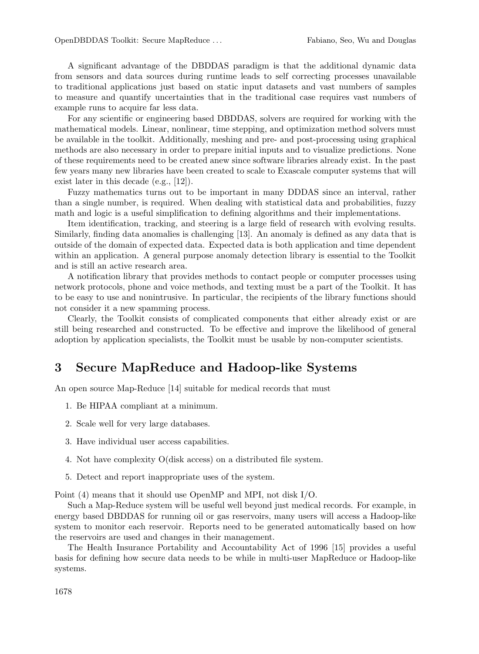A significant advantage of the DBDDAS paradigm is that the additional dynamic data from sensors and data sources during runtime leads to self correcting processes unavailable to traditional applications just based on static input datasets and vast numbers of samples to measure and quantify uncertainties that in the traditional case requires vast numbers of example runs to acquire far less data.

For any scientific or engineering based DBDDAS, solvers are required for working with the mathematical models. Linear, nonlinear, time stepping, and optimization method solvers must be available in the toolkit. Additionally, meshing and pre- and post-processing using graphical methods are also necessary in order to prepare initial inputs and to visualize predictions. None of these requirements need to be created anew since software libraries already exist. In the past few years many new libraries have been created to scale to Exascale computer systems that will exist later in this decade (e.g., [12]).

Fuzzy mathematics turns out to be important in many DDDAS since an interval, rather than a single number, is required. When dealing with statistical data and probabilities, fuzzy math and logic is a useful simplification to defining algorithms and their implementations.

Item identification, tracking, and steering is a large field of research with evolving results. Similarly, finding data anomalies is challenging [13]. An anomaly is defined as any data that is outside of the domain of expected data. Expected data is both application and time dependent within an application. A general purpose anomaly detection library is essential to the Toolkit and is still an active research area.

A notification library that provides methods to contact people or computer processes using network protocols, phone and voice methods, and texting must be a part of the Toolkit. It has to be easy to use and nonintrusive. In particular, the recipients of the library functions should not consider it a new spamming process.

Clearly, the Toolkit consists of complicated components that either already exist or are still being researched and constructed. To be effective and improve the likelihood of general adoption by application specialists, the Toolkit must be usable by non-computer scientists.

## **3 Secure MapReduce and Hadoop-like Systems**

An open source Map-Reduce [14] suitable for medical records that must

- 1. Be HIPAA compliant at a minimum.
- 2. Scale well for very large databases.
- 3. Have individual user access capabilities.
- 4. Not have complexity O(disk access) on a distributed file system.
- 5. Detect and report inappropriate uses of the system.

Point (4) means that it should use OpenMP and MPI, not disk I/O.

Such a Map-Reduce system will be useful well beyond just medical records. For example, in energy based DBDDAS for running oil or gas reservoirs, many users will access a Hadoop-like system to monitor each reservoir. Reports need to be generated automatically based on how the reservoirs are used and changes in their management.

The Health Insurance Portability and Accountability Act of 1996 [15] provides a useful basis for defining how secure data needs to be while in multi-user MapReduce or Hadoop-like systems.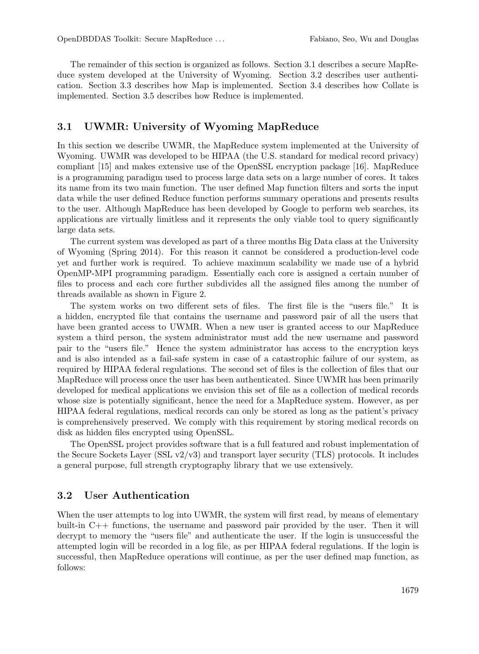The remainder of this section is organized as follows. Section 3.1 describes a secure MapReduce system developed at the University of Wyoming. Section 3.2 describes user authentication. Section 3.3 describes how Map is implemented. Section 3.4 describes how Collate is implemented. Section 3.5 describes how Reduce is implemented.

#### **3.1 UWMR: University of Wyoming MapReduce**

In this section we describe UWMR, the MapReduce system implemented at the University of Wyoming. UWMR was developed to be HIPAA (the U.S. standard for medical record privacy) compliant [15] and makes extensive use of the OpenSSL encryption package [16]. MapReduce is a programming paradigm used to process large data sets on a large number of cores. It takes its name from its two main function. The user defined Map function filters and sorts the input data while the user defined Reduce function performs summary operations and presents results to the user. Although MapReduce has been developed by Google to perform web searches, its applications are virtually limitless and it represents the only viable tool to query significantly large data sets.

The current system was developed as part of a three months Big Data class at the University of Wyoming (Spring 2014). For this reason it cannot be considered a production-level code yet and further work is required. To achieve maximum scalability we made use of a hybrid OpenMP-MPI programming paradigm. Essentially each core is assigned a certain number of files to process and each core further subdivides all the assigned files among the number of threads available as shown in Figure 2.

The system works on two different sets of files. The first file is the "users file." It is a hidden, encrypted file that contains the username and password pair of all the users that have been granted access to UWMR. When a new user is granted access to our MapReduce system a third person, the system administrator must add the new username and password pair to the "users file." Hence the system administrator has access to the encryption keys and is also intended as a fail-safe system in case of a catastrophic failure of our system, as required by HIPAA federal regulations. The second set of files is the collection of files that our MapReduce will process once the user has been authenticated. Since UWMR has been primarily developed for medical applications we envision this set of file as a collection of medical records whose size is potentially significant, hence the need for a MapReduce system. However, as per HIPAA federal regulations, medical records can only be stored as long as the patient's privacy is comprehensively preserved. We comply with this requirement by storing medical records on disk as hidden files encrypted using OpenSSL.

The OpenSSL project provides software that is a full featured and robust implementation of the Secure Sockets Layer (SSL  $v2/v3$ ) and transport layer security (TLS) protocols. It includes a general purpose, full strength cryptography library that we use extensively.

#### **3.2 User Authentication**

When the user attempts to log into UWMR, the system will first read, by means of elementary built-in C++ functions, the username and password pair provided by the user. Then it will decrypt to memory the "users file" and authenticate the user. If the login is unsuccessful the attempted login will be recorded in a log file, as per HIPAA federal regulations. If the login is successful, then MapReduce operations will continue, as per the user defined map function, as follows: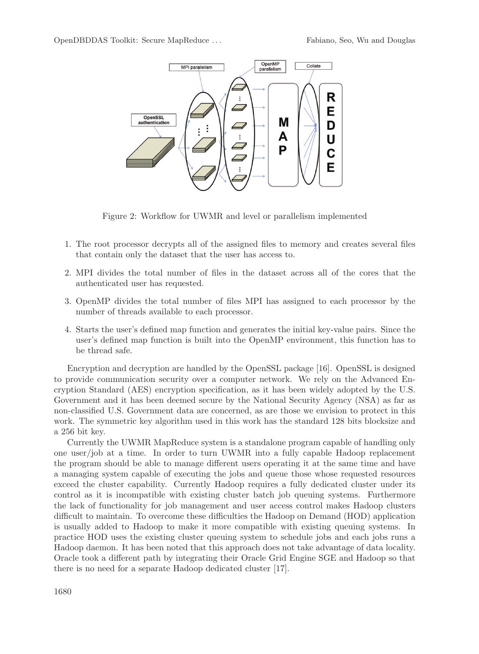

Figure 2: Workflow for UWMR and level or parallelism implemented

- 1. The root processor decrypts all of the assigned files to memory and creates several files that contain only the dataset that the user has access to.
- 2. MPI divides the total number of files in the dataset across all of the cores that the authenticated user has requested.
- 3. OpenMP divides the total number of files MPI has assigned to each processor by the number of threads available to each processor.
- 4. Starts the user's defined map function and generates the initial key-value pairs. Since the user's defined map function is built into the OpenMP environment, this function has to be thread safe.

Encryption and decryption are handled by the OpenSSL package [16]. OpenSSL is designed to provide communication security over a computer network. We rely on the Advanced Encryption Standard (AES) encryption specification, as it has been widely adopted by the U.S. Government and it has been deemed secure by the National Security Agency (NSA) as far as non-classified U.S. Government data are concerned, as are those we envision to protect in this work. The symmetric key algorithm used in this work has the standard 128 bits blocksize and a 256 bit key.

Currently the UWMR MapReduce system is a standalone program capable of handling only one user/job at a time. In order to turn UWMR into a fully capable Hadoop replacement the program should be able to manage different users operating it at the same time and have a managing system capable of executing the jobs and queue those whose requested resources exceed the cluster capability. Currently Hadoop requires a fully dedicated cluster under its control as it is incompatible with existing cluster batch job queuing systems. Furthermore the lack of functionality for job management and user access control makes Hadoop clusters difficult to maintain. To overcome these difficulties the Hadoop on Demand (HOD) application is usually added to Hadoop to make it more compatible with existing queuing systems. In practice HOD uses the existing cluster queuing system to schedule jobs and each jobs runs a Hadoop daemon. It has been noted that this approach does not take advantage of data locality. Oracle took a different path by integrating their Oracle Grid Engine SGE and Hadoop so that there is no need for a separate Hadoop dedicated cluster [17].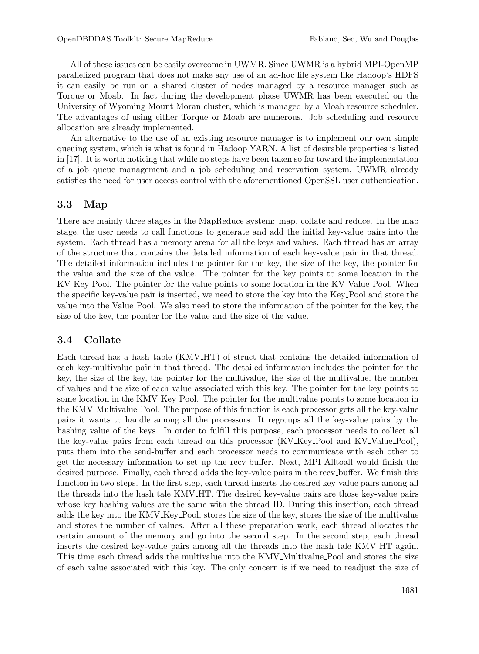All of these issues can be easily overcome in UWMR. Since UWMR is a hybrid MPI-OpenMP parallelized program that does not make any use of an ad-hoc file system like Hadoop's HDFS it can easily be run on a shared cluster of nodes managed by a resource manager such as Torque or Moab. In fact during the development phase UWMR has been executed on the University of Wyoming Mount Moran cluster, which is managed by a Moab resource scheduler. The advantages of using either Torque or Moab are numerous. Job scheduling and resource allocation are already implemented.

An alternative to the use of an existing resource manager is to implement our own simple queuing system, which is what is found in Hadoop YARN. A list of desirable properties is listed in [17]. It is worth noticing that while no steps have been taken so far toward the implementation of a job queue management and a job scheduling and reservation system, UWMR already satisfies the need for user access control with the aforementioned OpenSSL user authentication.

#### **3.3 Map**

There are mainly three stages in the MapReduce system: map, collate and reduce. In the map stage, the user needs to call functions to generate and add the initial key-value pairs into the system. Each thread has a memory arena for all the keys and values. Each thread has an array of the structure that contains the detailed information of each key-value pair in that thread. The detailed information includes the pointer for the key, the size of the key, the pointer for the value and the size of the value. The pointer for the key points to some location in the KV Key Pool. The pointer for the value points to some location in the KV Value Pool. When the specific key-value pair is inserted, we need to store the key into the Key Pool and store the value into the Value Pool. We also need to store the information of the pointer for the key, the size of the key, the pointer for the value and the size of the value.

#### **3.4 Collate**

Each thread has a hash table (KMV HT) of struct that contains the detailed information of each key-multivalue pair in that thread. The detailed information includes the pointer for the key, the size of the key, the pointer for the multivalue, the size of the multivalue, the number of values and the size of each value associated with this key. The pointer for the key points to some location in the KMV<sub>-</sub>Key<sub>-</sub>Pool. The pointer for the multivalue points to some location in the KMV Multivalue Pool. The purpose of this function is each processor gets all the key-value pairs it wants to handle among all the processors. It regroups all the key-value pairs by the hashing value of the keys. In order to fulfill this purpose, each processor needs to collect all the key-value pairs from each thread on this processor (KV Key Pool and KV Value Pool), puts them into the send-buffer and each processor needs to communicate with each other to get the necessary information to set up the recv-buffer. Next, MPI Alltoall would finish the desired purpose. Finally, each thread adds the key-value pairs in the recv buffer. We finish this function in two steps. In the first step, each thread inserts the desired key-value pairs among all the threads into the hash tale KMV HT. The desired key-value pairs are those key-value pairs whose key hashing values are the same with the thread ID. During this insertion, each thread adds the key into the KMV Key Pool, stores the size of the key, stores the size of the multivalue and stores the number of values. After all these preparation work, each thread allocates the certain amount of the memory and go into the second step. In the second step, each thread inserts the desired key-value pairs among all the threads into the hash tale KMV HT again. This time each thread adds the multivalue into the KMV Multivalue Pool and stores the size of each value associated with this key. The only concern is if we need to readjust the size of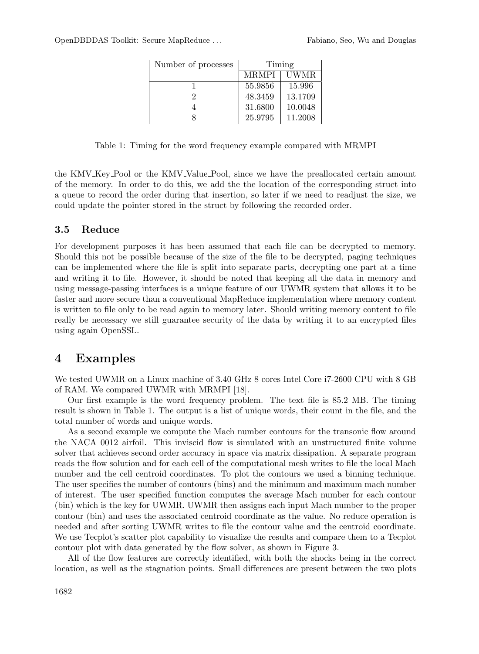| Number of processes | Timing       |         |
|---------------------|--------------|---------|
|                     | <b>MRMPI</b> | UWMR.   |
|                     | 55.9856      | 15.996  |
|                     | 48.3459      | 13.1709 |
|                     | 31.6800      | 10.0048 |
|                     | 25.9795      | 11.2008 |

Table 1: Timing for the word frequency example compared with MRMPI

the KMV Key Pool or the KMV Value Pool, since we have the preallocated certain amount of the memory. In order to do this, we add the the location of the corresponding struct into a queue to record the order during that insertion, so later if we need to readjust the size, we could update the pointer stored in the struct by following the recorded order.

#### **3.5 Reduce**

For development purposes it has been assumed that each file can be decrypted to memory. Should this not be possible because of the size of the file to be decrypted, paging techniques can be implemented where the file is split into separate parts, decrypting one part at a time and writing it to file. However, it should be noted that keeping all the data in memory and using message-passing interfaces is a unique feature of our UWMR system that allows it to be faster and more secure than a conventional MapReduce implementation where memory content is written to file only to be read again to memory later. Should writing memory content to file really be necessary we still guarantee security of the data by writing it to an encrypted files using again OpenSSL.

### **4 Examples**

We tested UWMR on a Linux machine of 3.40 GHz 8 cores Intel Core i7-2600 CPU with 8 GB of RAM. We compared UWMR with MRMPI [18].

Our first example is the word frequency problem. The text file is 85.2 MB. The timing result is shown in Table 1. The output is a list of unique words, their count in the file, and the total number of words and unique words.

As a second example we compute the Mach number contours for the transonic flow around the NACA 0012 airfoil. This inviscid flow is simulated with an unstructured finite volume solver that achieves second order accuracy in space via matrix dissipation. A separate program reads the flow solution and for each cell of the computational mesh writes to file the local Mach number and the cell centroid coordinates. To plot the contours we used a binning technique. The user specifies the number of contours (bins) and the minimum and maximum mach number of interest. The user specified function computes the average Mach number for each contour (bin) which is the key for UWMR. UWMR then assigns each input Mach number to the proper contour (bin) and uses the associated centroid coordinate as the value. No reduce operation is needed and after sorting UWMR writes to file the contour value and the centroid coordinate. We use Tecplot's scatter plot capability to visualize the results and compare them to a Tecplot contour plot with data generated by the flow solver, as shown in Figure 3.

All of the flow features are correctly identified, with both the shocks being in the correct location, as well as the stagnation points. Small differences are present between the two plots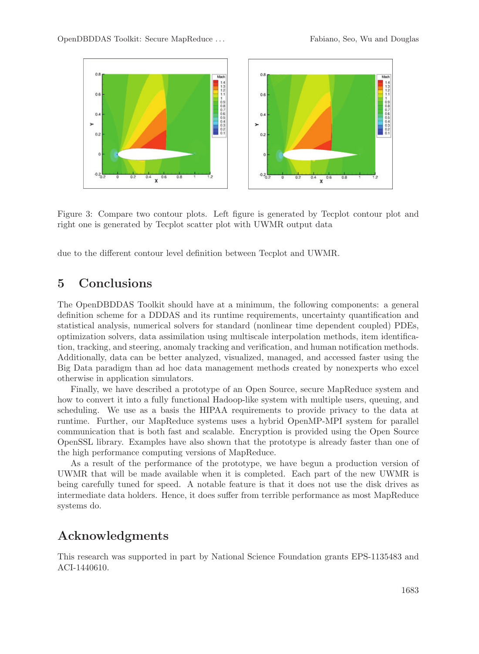

Figure 3: Compare two contour plots. Left figure is generated by Tecplot contour plot and right one is generated by Tecplot scatter plot with UWMR output data

due to the different contour level definition between Tecplot and UWMR.

## **5 Conclusions**

The OpenDBDDAS Toolkit should have at a minimum, the following components: a general definition scheme for a DDDAS and its runtime requirements, uncertainty quantification and statistical analysis, numerical solvers for standard (nonlinear time dependent coupled) PDEs, optimization solvers, data assimilation using multiscale interpolation methods, item identification, tracking, and steering, anomaly tracking and verification, and human notification methods. Additionally, data can be better analyzed, visualized, managed, and accessed faster using the Big Data paradigm than ad hoc data management methods created by nonexperts who excel otherwise in application simulators.

Finally, we have described a prototype of an Open Source, secure MapReduce system and how to convert it into a fully functional Hadoop-like system with multiple users, queuing, and scheduling. We use as a basis the HIPAA requirements to provide privacy to the data at runtime. Further, our MapReduce systems uses a hybrid OpenMP-MPI system for parallel communication that is both fast and scalable. Encryption is provided using the Open Source OpenSSL library. Examples have also shown that the prototype is already faster than one of the high performance computing versions of MapReduce.

As a result of the performance of the prototype, we have begun a production version of UWMR that will be made available when it is completed. Each part of the new UWMR is being carefully tuned for speed. A notable feature is that it does not use the disk drives as intermediate data holders. Hence, it does suffer from terrible performance as most MapReduce systems do.

## **Acknowledgments**

This research was supported in part by National Science Foundation grants EPS-1135483 and ACI-1440610.